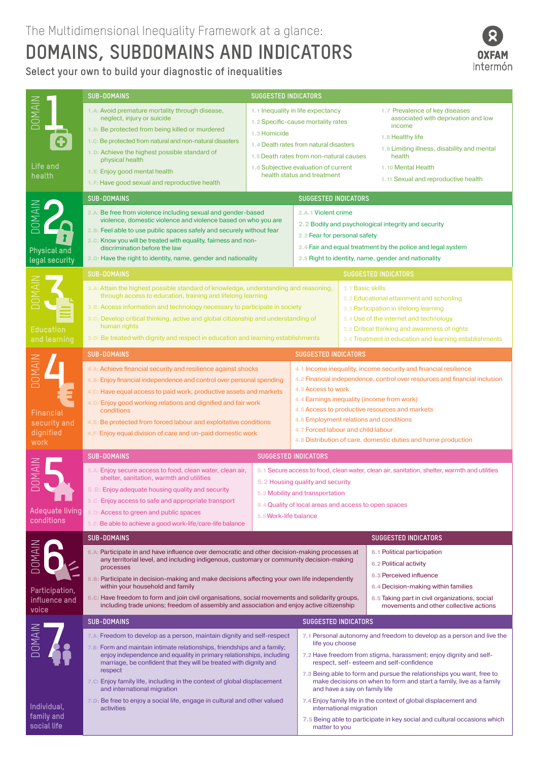## **DOMAINS, SUBDOMAINS AND INDICATORS**

**Select your own to build your diagnostic of inequalities**



|                                                          | <b>SUB-DOMAINS</b>                                                                                                                                                                                                                                                                                                                                                                                                                                                                                                                        | <b>SUGGESTED INDICATORS</b>                                                                                                                                                                                                                          |                                                                                                                                                                                                                                                                                                                                                                                                                       |                                                                                                                                                                                                                                                                                                                                                           |                                                                                                                                                                                                                                         |  |
|----------------------------------------------------------|-------------------------------------------------------------------------------------------------------------------------------------------------------------------------------------------------------------------------------------------------------------------------------------------------------------------------------------------------------------------------------------------------------------------------------------------------------------------------------------------------------------------------------------------|------------------------------------------------------------------------------------------------------------------------------------------------------------------------------------------------------------------------------------------------------|-----------------------------------------------------------------------------------------------------------------------------------------------------------------------------------------------------------------------------------------------------------------------------------------------------------------------------------------------------------------------------------------------------------------------|-----------------------------------------------------------------------------------------------------------------------------------------------------------------------------------------------------------------------------------------------------------------------------------------------------------------------------------------------------------|-----------------------------------------------------------------------------------------------------------------------------------------------------------------------------------------------------------------------------------------|--|
| <b>DOMAIN</b><br>Life and<br>health                      | 1.A: Avoid premature mortality through disease,<br>neglect, injury or suicide<br>1.B: Be protected from being killed or murdered<br>1.C: Be protected from natural and non-natural disasters<br>1.D: Achieve the highest possible standard of<br>physical health<br>1.E: Enjoy good mental health<br>1.F: Have good sexual and reproductive health                                                                                                                                                                                        | 1.1 Inequality in life expectancy<br>1.2 Specific-cause mortality rates<br>1.3 Homicide<br>1.4 Death rates from natural disasters<br>1.5 Death rates from non-natural causes<br>1.6 Subjective evaluation of current<br>health status and treatment  |                                                                                                                                                                                                                                                                                                                                                                                                                       |                                                                                                                                                                                                                                                                                                                                                           | 1.7 Prevalence of key diseases<br>associated with deprivation and low<br>income<br>1.8 Healthy life<br>1.9 Limiting illness, disability and mental<br>health<br>1.10 Mental Health<br>1.11 Sexual and reproductive health               |  |
|                                                          | <b>SUB-DOMAINS</b><br><b>SUGGESTED INDICATORS</b>                                                                                                                                                                                                                                                                                                                                                                                                                                                                                         |                                                                                                                                                                                                                                                      |                                                                                                                                                                                                                                                                                                                                                                                                                       |                                                                                                                                                                                                                                                                                                                                                           |                                                                                                                                                                                                                                         |  |
| NIANOC<br>Physical and<br>legal security                 | 2.A: Be free from violence including sexual and gender-based<br>violence, domestic violence and violence based on who you are<br>2.B: Feel able to use public spaces safely and securely without fear<br>2.C: Know you will be treated with equality, fairness and non-<br>discrimination before the law<br>2.D: Have the right to identity, name, gender and nationality                                                                                                                                                                 |                                                                                                                                                                                                                                                      | 2.A.1 Violent crime                                                                                                                                                                                                                                                                                                                                                                                                   | 2.2 Bodily and psychological integrity and security<br>2.3 Fear for personal safety<br>2.4 Fair and equal treatment by the police and legal system<br>2.5 Right to identity, name, gender and nationality                                                                                                                                                 |                                                                                                                                                                                                                                         |  |
|                                                          | <b>SUB-DOMAINS</b><br><b>SUGGESTED INDICATORS</b>                                                                                                                                                                                                                                                                                                                                                                                                                                                                                         |                                                                                                                                                                                                                                                      |                                                                                                                                                                                                                                                                                                                                                                                                                       |                                                                                                                                                                                                                                                                                                                                                           |                                                                                                                                                                                                                                         |  |
| <b>Education</b><br>and learning                         | 3.A: Attain the highest possible standard of knowledge, understanding and reasoning,<br>through access to education, training and lifelong learning<br>3. B: Access information and technology necessary to participate in society<br>3.C: Develop critical thinking, active and global citizenship and understanding of<br>human rights<br>3.D: Be treated with dignity and respect in education and learning establishments                                                                                                             | 3.1 Basic skills                                                                                                                                                                                                                                     |                                                                                                                                                                                                                                                                                                                                                                                                                       |                                                                                                                                                                                                                                                                                                                                                           | 3.2 Educational attainment and schooling<br>3.3 Participation in lifelong learning<br>3.4 Use of the internet and technology<br>3.5 Critical thinking and awareness of rights<br>3.6 Treatment in education and learning establishments |  |
|                                                          | <b>SUB-DOMAINS</b>                                                                                                                                                                                                                                                                                                                                                                                                                                                                                                                        |                                                                                                                                                                                                                                                      |                                                                                                                                                                                                                                                                                                                                                                                                                       | <b>SUGGESTED INDICATORS</b>                                                                                                                                                                                                                                                                                                                               |                                                                                                                                                                                                                                         |  |
| Financial<br>security and<br>dignified<br>work           | 4.A: Achieve financial security and resilience against shocks<br>4. B: Enjoy financial independence and control over personal spending<br>4.C: Have equal access to paid work, productive assets and markets<br>4.D: Enjoy good working relations and dignified and fair work<br>conditions<br>4.E: Be protected from forced labour and exploitative conditions<br>4.F: Enjoy equal division of care and un-paid domestic work                                                                                                            |                                                                                                                                                                                                                                                      | 4.1 Income inequality, income security and financial resilience<br>4.2 Financial independence, control over resources and financial inclusion<br>4.3 Access to work<br>4.4 Earnings inequality (income from work)<br>4.5 Access to productive resources and markets<br>4.6 Employment relations and conditions<br>4.7 Forced labour and child labour<br>4.8 Distribution of care, domestic duties and home production |                                                                                                                                                                                                                                                                                                                                                           |                                                                                                                                                                                                                                         |  |
|                                                          | <b>SUB-DOMAINS</b><br><b>SUGGESTED INDICATORS</b>                                                                                                                                                                                                                                                                                                                                                                                                                                                                                         |                                                                                                                                                                                                                                                      |                                                                                                                                                                                                                                                                                                                                                                                                                       |                                                                                                                                                                                                                                                                                                                                                           |                                                                                                                                                                                                                                         |  |
| <b>Adequate living</b><br>conditions                     | 5.A: Enjoy secure access to food, clean water, clean air,<br>shelter, sanitation, warmth and utilities<br>5. B: Enjoy adequate housing quality and security<br>5.C: Enjoy access to safe and appropriate transport<br>5.D: Access to green and public spaces<br>5.E: Be able to achieve a good work-life/care-life balance                                                                                                                                                                                                                | 5.1 Secure access to food, clean water, clean air, sanitation, shelter, warmth and utilities<br>5.2 Housing quality and security<br>5.3 Mobility and transportation<br>5.4 Quality of local areas and access to open spaces<br>5.5 Work-life balance |                                                                                                                                                                                                                                                                                                                                                                                                                       |                                                                                                                                                                                                                                                                                                                                                           |                                                                                                                                                                                                                                         |  |
|                                                          | <b>SUB-DOMAINS</b><br><b>SUGGESTED INDICATORS</b>                                                                                                                                                                                                                                                                                                                                                                                                                                                                                         |                                                                                                                                                                                                                                                      |                                                                                                                                                                                                                                                                                                                                                                                                                       |                                                                                                                                                                                                                                                                                                                                                           |                                                                                                                                                                                                                                         |  |
| <b>NIANO</b><br>Participation,<br>influence and<br>voice | 6.A: Participate in and have influence over democratic and other decision-making processes at<br>any territorial level, and including indigenous, customary or community decision-making<br>processes<br>6. B: Participate in decision-making and make decisions affecting your own life independently<br>within your household and family<br>6.C: Have freedom to form and join civil organisations, social movements and solidarity groups,<br>including trade unions; freedom of assembly and association and enjoy active citizenship |                                                                                                                                                                                                                                                      |                                                                                                                                                                                                                                                                                                                                                                                                                       | 6.1 Political participation<br>6.2 Political activity<br>6.3 Perceived influence<br>6.4 Decision-making within families<br>6.5 Taking part in civil organizations, social<br>movements and other collective actions                                                                                                                                       |                                                                                                                                                                                                                                         |  |
|                                                          | <b>SUB-DOMAINS</b>                                                                                                                                                                                                                                                                                                                                                                                                                                                                                                                        |                                                                                                                                                                                                                                                      |                                                                                                                                                                                                                                                                                                                                                                                                                       | <b>SUGGESTED INDICATORS</b>                                                                                                                                                                                                                                                                                                                               |                                                                                                                                                                                                                                         |  |
| NIANOC                                                   | 7.A: Freedom to develop as a person, maintain dignity and self-respect<br>7.B: Form and maintain intimate relationships, friendships and a family;<br>enjoy independence and equality in primary relationships, including<br>marriage, be confident that they will be treated with dignity and<br>respect<br>7.C: Enjoy family life, including in the context of global displacement                                                                                                                                                      |                                                                                                                                                                                                                                                      |                                                                                                                                                                                                                                                                                                                                                                                                                       | 7.1 Personal autonomy and freedom to develop as a person and live the<br>life you choose<br>7.2 Have freedom from stigma, harassment; enjoy dignity and self-<br>respect, self-esteem and self-confidence<br>7.3 Being able to form and pursue the relationships you want, free to<br>make decisions on when to form and start a family, live as a family |                                                                                                                                                                                                                                         |  |
| Individual,                                              | and international migration<br>7.D: Be free to enjoy a social life, engage in cultural and other valued<br>activities                                                                                                                                                                                                                                                                                                                                                                                                                     | and have a say on family life<br>7.4 Enjoy family life in the context of global displacement and<br>international migration                                                                                                                          |                                                                                                                                                                                                                                                                                                                                                                                                                       |                                                                                                                                                                                                                                                                                                                                                           |                                                                                                                                                                                                                                         |  |
| family and<br>social life                                |                                                                                                                                                                                                                                                                                                                                                                                                                                                                                                                                           |                                                                                                                                                                                                                                                      |                                                                                                                                                                                                                                                                                                                                                                                                                       | 7.5 Being able to participate in key social and cultural occasions which<br>matter to you                                                                                                                                                                                                                                                                 |                                                                                                                                                                                                                                         |  |